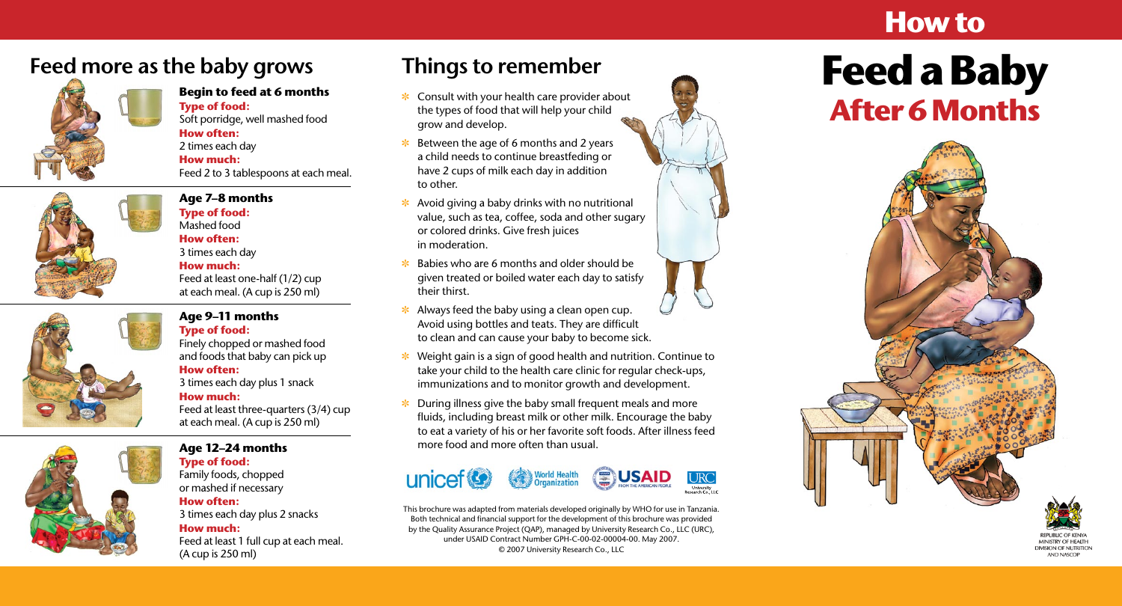- the types of food that will help your child grow and develop. **Begin to feed at 6 months**<br> **Begin to feed at 6 months**<br> **Begin to feed at 6 months**<br> **Begin to feed at 6 months**<br> **Begin to feed at 6 months**<br> **Begin to feed at 6 months**<br> **Begin to feed at 6 months**<br> **Begin to feed at 6** 
	- $\cdot$  Between the age of 6 months and 2 years a child needs to continue breastfeding or have 2 cups of milk each day in addition to other.
	- $\ast$  Avoid giving a baby drinks with no nutritional value, such as tea, coffee, soda and other sugary or colored drinks. Give fresh juices in moderation.
	- ] Babies who are 6 months and older should be given treated or boiled water each day to satisfy their thirst.
	- $\ast$  Always feed the baby using a clean open cup. Avoid using bottles and teats. They are difficult to clean and can cause your baby to become sick.
	- Weight gain is a sign of good health and nutrition. Continue to take your child to the health care clinic for regular check-ups, immunizations and to monitor growth and development.
	- $\cdot$  During illness give the baby small frequent meals and more fluids, including breast milk or other milk. Encourage the baby to eat a variety of his or her favorite soft foods. After illness feed more food and more often than usual.



### **Feed more as the baby grows**



### **Type of food:**  Soft porridge, well mashed food **How often:** 2 times each day

**How much:** Feed 2 to 3 tablespoons at each meal.



**Age 7–8 months Type of food:**  Mashed food **How often:**

### 3 times each day **How much:** Feed at least one-half (1/2) cup at each meal. (A cup is 250 ml) **Age 9–11 months**

**Type of food:**  Finely chopped or mashed food and foods that baby can pick up **How often:** 3 times each day plus 1 snack

### **How much:** Feed at least three-quarters (3/4) cup at each meal. (A cup is 250 ml)



### **Age 12–24 months**

**Type of food:**  Family foods, chopped or mashed if necessary

### **How often:** 3 times each day plus 2 snacks

**How much:** Feed at least 1 full cup at each meal. (A cup is 250 ml)

### **How to**

# Things to remember<br> **Eeed a Baby**





MINISTRY OF HEALTH **DIVISION OF NUTRITION AND NASCOP** 

This brochure was adapted from materials developed originally by WHO for use in Tanzania. Both technical and financial support for the development of this brochure was provided by the Quality Assurance Project (QAP), managed by University Research Co., LLC (URC), under USAID Contract Number GPH-C-00-02-00004-00. May 2007. © 2007 University Research Co., LLC